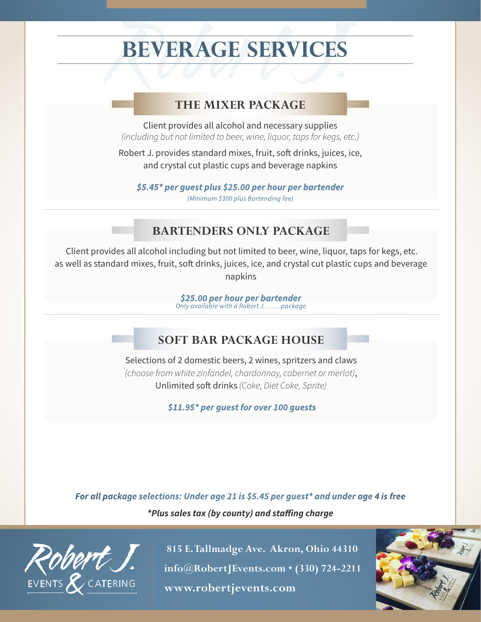## **BEVERAGE SERVICES**

### **THE MIXER PACKAGE**

**THE MIXER PACKAGE**<br> **Client provides all alcohol and necessary supplies**<br>
(including but not limited to beer, wine, liquor, taps for kegs, etc.) Client provides all alcohol and necessary supplies

Robert J. provides standard mixes, fruit, soft drinks, juices, ice, and crystal cut plastic cups and beverage napkins

*\$5.45\* per guest plus \$25.00 per hour per bartender (Minimum \$300 plus Bartending fee)*

### **BARTENDERS ONLY PACKAGE**

 Client provides all alcohol including but not limited to beer, wine, liquor, taps for kegs, etc. as well as standard mixes, fruit, soft drinks, juices, ice, and crystal cut plastic cups and beverage napkins

> *\$25.00 per hour per bartender Only available with a Robert J. ........package*

### **SOFT BAR PACKAGE HOUSE**

Selections of 2 domestic beers, 2 wines, spritzers and claws *(choose from white zinfandel, chardonnay, cabernet or merlot)*, Unlimited soft drinks *(Coke, Diet Coke, Sprite)*

 *\$11.95\* per guest for over 100 guests*

*For all package selections: Under age 21 is \$5.45 per guest\* and under age 4 is free*

*\*Plus sales tax (by county) and staffing charge*



 **815 E. Tallmadge Ave. Akron, Ohio 44310 info@RobertJEvents.com • (330) 724-2211** EVENTS & CATERING **www.robertjevents.com**